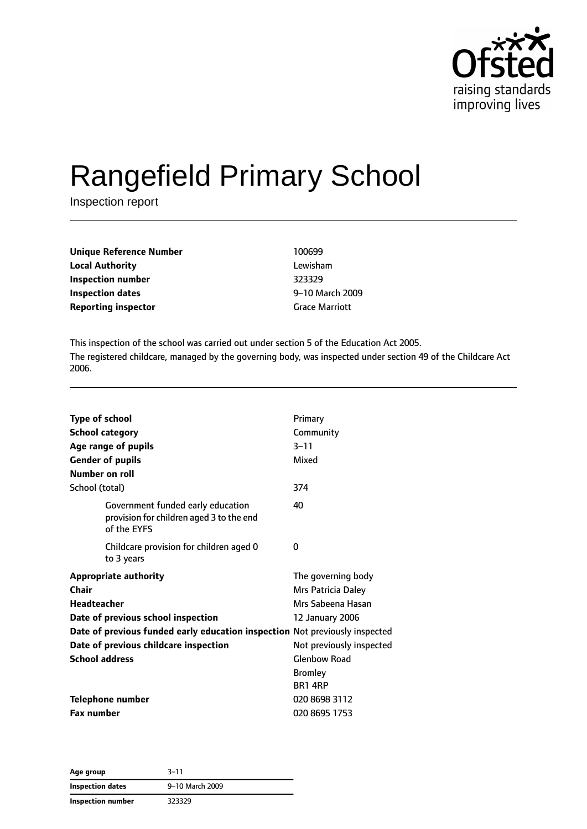

# Rangefield Primary School

Inspection report

| <b>Unique Reference Number</b> | 100699                |
|--------------------------------|-----------------------|
| <b>Local Authority</b>         | Lewisham              |
| Inspection number              | 323329                |
| Inspection dates               | 9-10 March 2009       |
| <b>Reporting inspector</b>     | <b>Grace Marriott</b> |

This inspection of the school was carried out under section 5 of the Education Act 2005. The registered childcare, managed by the governing body, was inspected under section 49 of the Childcare Act 2006.

| Type of school<br><b>School category</b><br>Age range of pupils                              | Primary<br>Community<br>$3 - 11$ |
|----------------------------------------------------------------------------------------------|----------------------------------|
| <b>Gender of pupils</b><br><b>Number on roll</b>                                             | Mixed                            |
| School (total)                                                                               | 374                              |
| Government funded early education<br>provision for children aged 3 to the end<br>of the EYFS | 40                               |
| Childcare provision for children aged 0<br>to 3 years                                        | 0                                |
| <b>Appropriate authority</b>                                                                 | The governing body               |
| Chair                                                                                        | Mrs Patricia Daley               |
| <b>Headteacher</b>                                                                           | Mrs Sabeena Hasan                |
| Date of previous school inspection                                                           | 12 January 2006                  |
| Date of previous funded early education inspection Not previously inspected                  |                                  |
| Date of previous childcare inspection                                                        | Not previously inspected         |
| <b>School address</b>                                                                        | <b>Glenbow Road</b>              |
|                                                                                              | <b>Bromley</b>                   |
|                                                                                              | <b>BR1 4RP</b>                   |
| <b>Telephone number</b>                                                                      | 020 8698 3112                    |
| <b>Fax number</b>                                                                            | 020 8695 1753                    |

**Age group** 3–11 **Inspection dates** 9–10 March 2009 **Inspection number** 323329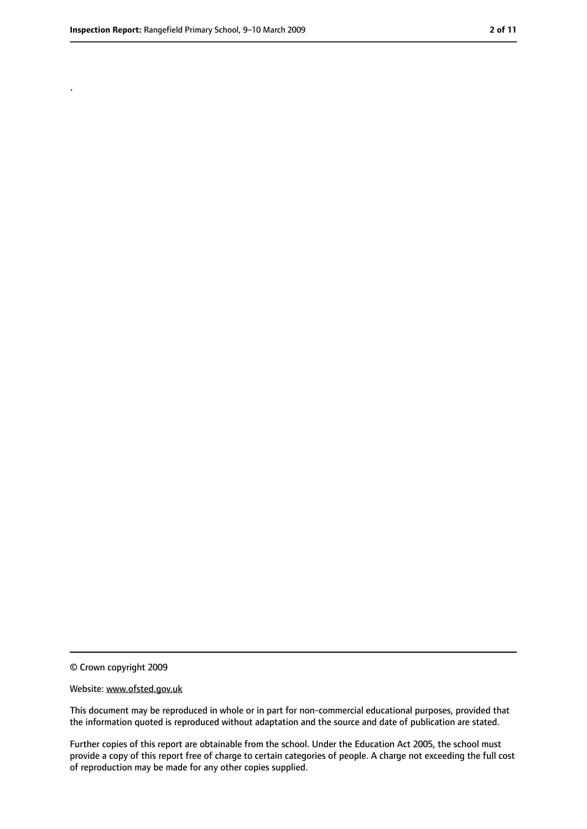.

<sup>©</sup> Crown copyright 2009

Website: www.ofsted.gov.uk

This document may be reproduced in whole or in part for non-commercial educational purposes, provided that the information quoted is reproduced without adaptation and the source and date of publication are stated.

Further copies of this report are obtainable from the school. Under the Education Act 2005, the school must provide a copy of this report free of charge to certain categories of people. A charge not exceeding the full cost of reproduction may be made for any other copies supplied.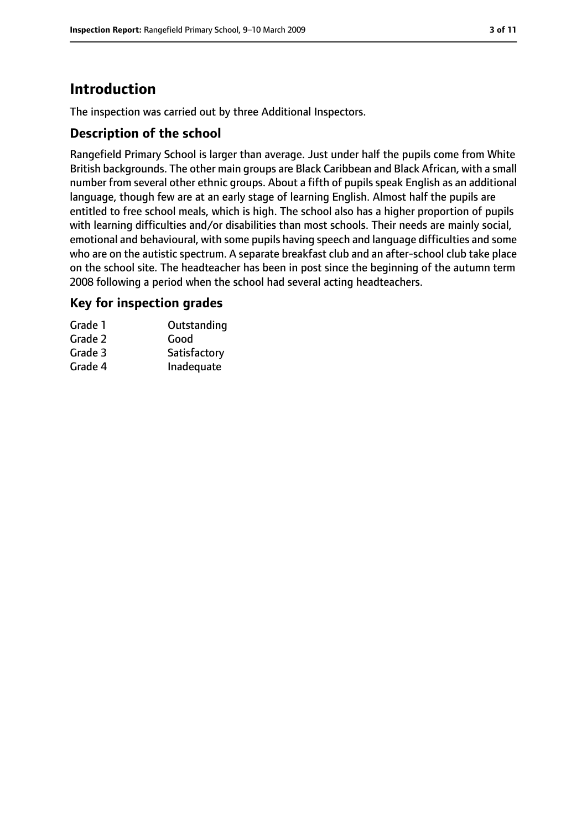### **Introduction**

The inspection was carried out by three Additional Inspectors.

#### **Description of the school**

Rangefield Primary School is larger than average. Just under half the pupils come from White British backgrounds. The other main groups are Black Caribbean and Black African, with a small number from several other ethnic groups. About a fifth of pupils speak English as an additional language, though few are at an early stage of learning English. Almost half the pupils are entitled to free school meals, which is high. The school also has a higher proportion of pupils with learning difficulties and/or disabilities than most schools. Their needs are mainly social, emotional and behavioural, with some pupils having speech and language difficulties and some who are on the autistic spectrum. A separate breakfast club and an after-school club take place on the school site. The headteacher has been in post since the beginning of the autumn term 2008 following a period when the school had several acting headteachers.

#### **Key for inspection grades**

| Grade 1 | Outstanding  |
|---------|--------------|
| Grade 2 | Good         |
| Grade 3 | Satisfactory |
| Grade 4 | Inadequate   |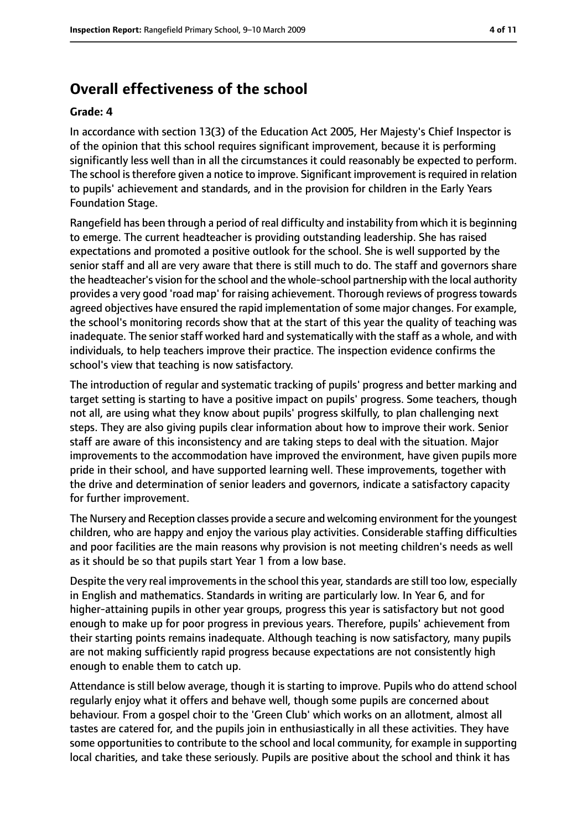### **Overall effectiveness of the school**

#### **Grade: 4**

In accordance with section 13(3) of the Education Act 2005, Her Majesty's Chief Inspector is of the opinion that this school requires significant improvement, because it is performing significantly less well than in all the circumstances it could reasonably be expected to perform. The school is therefore given a notice to improve. Significant improvement is required in relation to pupils' achievement and standards, and in the provision for children in the Early Years Foundation Stage.

Rangefield has been through a period of real difficulty and instability from which it is beginning to emerge. The current headteacher is providing outstanding leadership. She has raised expectations and promoted a positive outlook for the school. She is well supported by the senior staff and all are very aware that there is still much to do. The staff and governors share the headteacher's vision for the school and the whole-school partnership with the local authority provides a very good 'road map' for raising achievement. Thorough reviews of progresstowards agreed objectives have ensured the rapid implementation of some major changes. For example, the school's monitoring records show that at the start of this year the quality of teaching was inadequate. The senior staff worked hard and systematically with the staff as a whole, and with individuals, to help teachers improve their practice. The inspection evidence confirms the school's view that teaching is now satisfactory.

The introduction of regular and systematic tracking of pupils' progress and better marking and target setting is starting to have a positive impact on pupils' progress. Some teachers, though not all, are using what they know about pupils' progress skilfully, to plan challenging next steps. They are also giving pupils clear information about how to improve their work. Senior staff are aware of this inconsistency and are taking steps to deal with the situation. Major improvements to the accommodation have improved the environment, have given pupils more pride in their school, and have supported learning well. These improvements, together with the drive and determination of senior leaders and governors, indicate a satisfactory capacity for further improvement.

The Nursery and Reception classes provide a secure and welcoming environment for the youngest children, who are happy and enjoy the various play activities. Considerable staffing difficulties and poor facilities are the main reasons why provision is not meeting children's needs as well as it should be so that pupils start Year 1 from a low base.

Despite the very real improvements in the school this year, standards are still too low, especially in English and mathematics. Standards in writing are particularly low. In Year 6, and for higher-attaining pupils in other year groups, progress this year is satisfactory but not good enough to make up for poor progress in previous years. Therefore, pupils' achievement from their starting points remains inadequate. Although teaching is now satisfactory, many pupils are not making sufficiently rapid progress because expectations are not consistently high enough to enable them to catch up.

Attendance is still below average, though it is starting to improve. Pupils who do attend school regularly enjoy what it offers and behave well, though some pupils are concerned about behaviour. From a gospel choir to the 'Green Club' which works on an allotment, almost all tastes are catered for, and the pupils join in enthusiastically in all these activities. They have some opportunities to contribute to the school and local community, for example in supporting local charities, and take these seriously. Pupils are positive about the school and think it has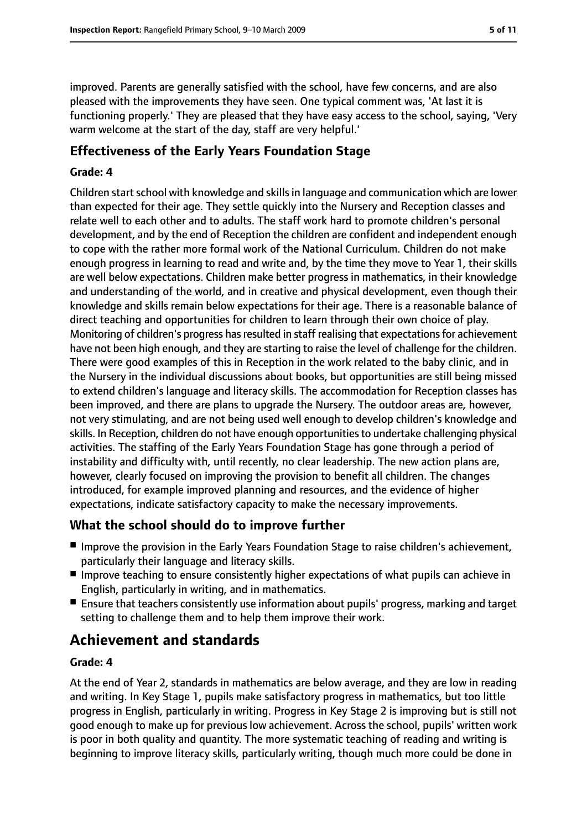improved. Parents are generally satisfied with the school, have few concerns, and are also pleased with the improvements they have seen. One typical comment was, 'At last it is functioning properly.' They are pleased that they have easy access to the school, saying, 'Very warm welcome at the start of the day, staff are very helpful.'

#### **Effectiveness of the Early Years Foundation Stage**

#### **Grade: 4**

Children start school with knowledge and skills in language and communication which are lower than expected for their age. They settle quickly into the Nursery and Reception classes and relate well to each other and to adults. The staff work hard to promote children's personal development, and by the end of Reception the children are confident and independent enough to cope with the rather more formal work of the National Curriculum. Children do not make enough progress in learning to read and write and, by the time they move to Year 1, their skills are well below expectations. Children make better progress in mathematics, in their knowledge and understanding of the world, and in creative and physical development, even though their knowledge and skills remain below expectations for their age. There is a reasonable balance of direct teaching and opportunities for children to learn through their own choice of play. Monitoring of children's progress has resulted in staff realising that expectations for achievement have not been high enough, and they are starting to raise the level of challenge for the children. There were good examples of this in Reception in the work related to the baby clinic, and in the Nursery in the individual discussions about books, but opportunities are still being missed to extend children's language and literacy skills. The accommodation for Reception classes has been improved, and there are plans to upgrade the Nursery. The outdoor areas are, however, not very stimulating, and are not being used well enough to develop children's knowledge and skills. In Reception, children do not have enough opportunitiesto undertake challenging physical activities. The staffing of the Early Years Foundation Stage has gone through a period of instability and difficulty with, until recently, no clear leadership. The new action plans are, however, clearly focused on improving the provision to benefit all children. The changes introduced, for example improved planning and resources, and the evidence of higher expectations, indicate satisfactory capacity to make the necessary improvements.

### **What the school should do to improve further**

- Improve the provision in the Early Years Foundation Stage to raise children's achievement, particularly their language and literacy skills.
- Improve teaching to ensure consistently higher expectations of what pupils can achieve in English, particularly in writing, and in mathematics.
- Ensure that teachers consistently use information about pupils' progress, marking and target setting to challenge them and to help them improve their work.

### **Achievement and standards**

#### **Grade: 4**

At the end of Year 2, standards in mathematics are below average, and they are low in reading and writing. In Key Stage 1, pupils make satisfactory progress in mathematics, but too little progress in English, particularly in writing. Progress in Key Stage 2 is improving but is still not good enough to make up for previous low achievement. Across the school, pupils' written work is poor in both quality and quantity. The more systematic teaching of reading and writing is beginning to improve literacy skills, particularly writing, though much more could be done in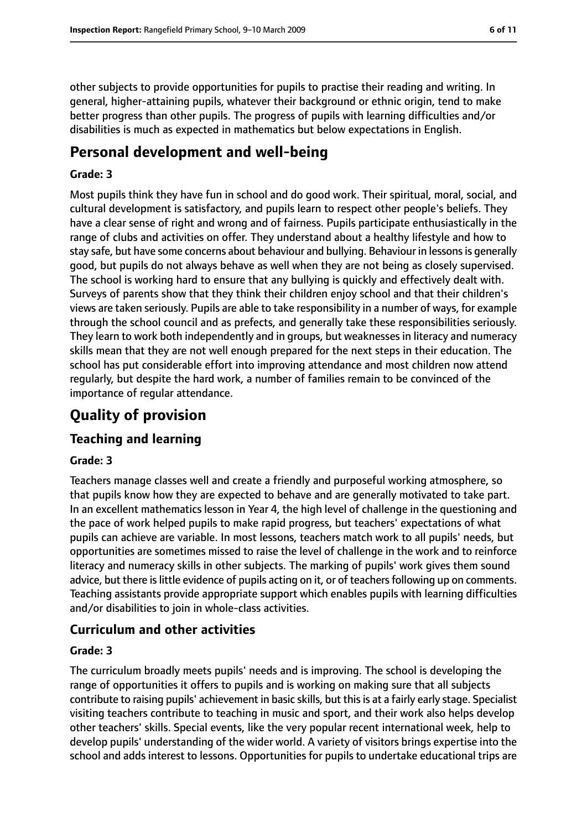other subjects to provide opportunities for pupils to practise their reading and writing. In general, higher-attaining pupils, whatever their background or ethnic origin, tend to make better progress than other pupils. The progress of pupils with learning difficulties and/or disabilities is much as expected in mathematics but below expectations in English.

### **Personal development and well-being**

#### **Grade: 3**

Most pupils think they have fun in school and do good work. Their spiritual, moral, social, and cultural development is satisfactory, and pupils learn to respect other people's beliefs. They have a clear sense of right and wrong and of fairness. Pupils participate enthusiastically in the range of clubs and activities on offer. They understand about a healthy lifestyle and how to stay safe, but have some concerns about behaviour and bullying. Behaviour in lessonsis generally good, but pupils do not always behave as well when they are not being as closely supervised. The school is working hard to ensure that any bullying is quickly and effectively dealt with. Surveys of parents show that they think their children enjoy school and that their children's views are taken seriously. Pupils are able to take responsibility in a number of ways, for example through the school council and as prefects, and generally take these responsibilities seriously. They learn to work both independently and in groups, but weaknesses in literacy and numeracy skills mean that they are not well enough prepared for the next steps in their education. The school has put considerable effort into improving attendance and most children now attend regularly, but despite the hard work, a number of families remain to be convinced of the importance of regular attendance.

### **Quality of provision**

#### **Teaching and learning**

#### **Grade: 3**

Teachers manage classes well and create a friendly and purposeful working atmosphere, so that pupils know how they are expected to behave and are generally motivated to take part. In an excellent mathematics lesson in Year 4, the high level of challenge in the questioning and the pace of work helped pupils to make rapid progress, but teachers' expectations of what pupils can achieve are variable. In most lessons, teachers match work to all pupils' needs, but opportunities are sometimes missed to raise the level of challenge in the work and to reinforce literacy and numeracy skills in other subjects. The marking of pupils' work gives them sound advice, but there is little evidence of pupils acting on it, or of teachers following up on comments. Teaching assistants provide appropriate support which enables pupils with learning difficulties and/or disabilities to join in whole-class activities.

#### **Curriculum and other activities**

#### **Grade: 3**

The curriculum broadly meets pupils' needs and is improving. The school is developing the range of opportunities it offers to pupils and is working on making sure that all subjects contribute to raising pupils' achievement in basic skills, but thisis at a fairly early stage. Specialist visiting teachers contribute to teaching in music and sport, and their work also helps develop other teachers' skills. Special events, like the very popular recent international week, help to develop pupils' understanding of the wider world. A variety of visitors brings expertise into the school and adds interest to lessons. Opportunities for pupils to undertake educational trips are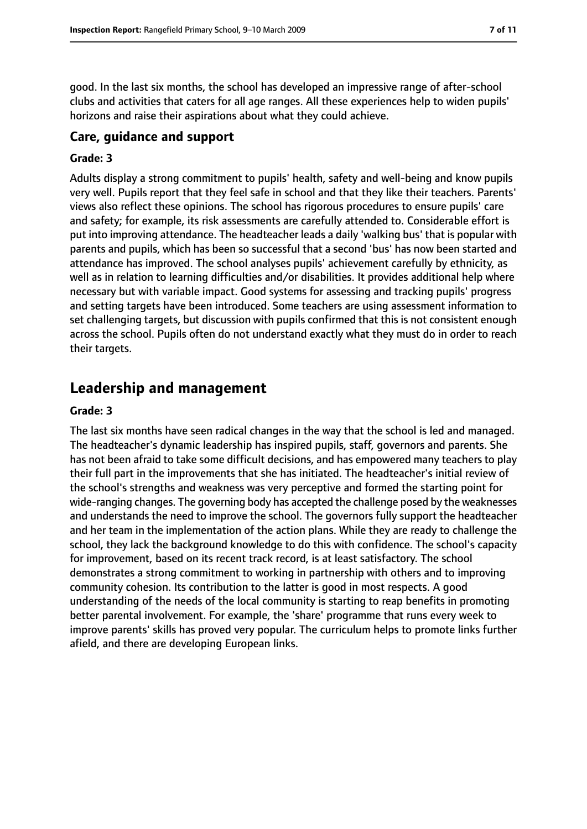good. In the last six months, the school has developed an impressive range of after-school clubs and activities that caters for all age ranges. All these experiences help to widen pupils' horizons and raise their aspirations about what they could achieve.

#### **Care, guidance and support**

#### **Grade: 3**

Adults display a strong commitment to pupils' health, safety and well-being and know pupils very well. Pupils report that they feel safe in school and that they like their teachers. Parents' views also reflect these opinions. The school has rigorous procedures to ensure pupils' care and safety; for example, its risk assessments are carefully attended to. Considerable effort is put into improving attendance. The headteacher leads a daily 'walking bus' that is popular with parents and pupils, which has been so successful that a second 'bus' has now been started and attendance has improved. The school analyses pupils' achievement carefully by ethnicity, as well as in relation to learning difficulties and/or disabilities. It provides additional help where necessary but with variable impact. Good systems for assessing and tracking pupils' progress and setting targets have been introduced. Some teachers are using assessment information to set challenging targets, but discussion with pupils confirmed that this is not consistent enough across the school. Pupils often do not understand exactly what they must do in order to reach their targets.

### **Leadership and management**

#### **Grade: 3**

The last six months have seen radical changes in the way that the school is led and managed. The headteacher's dynamic leadership has inspired pupils, staff, governors and parents. She has not been afraid to take some difficult decisions, and has empowered many teachers to play their full part in the improvements that she has initiated. The headteacher's initial review of the school's strengths and weakness was very perceptive and formed the starting point for wide-ranging changes. The governing body has accepted the challenge posed by the weaknesses and understands the need to improve the school. The governors fully support the headteacher and her team in the implementation of the action plans. While they are ready to challenge the school, they lack the background knowledge to do this with confidence. The school's capacity for improvement, based on its recent track record, is at least satisfactory. The school demonstrates a strong commitment to working in partnership with others and to improving community cohesion. Its contribution to the latter is good in most respects. A good understanding of the needs of the local community is starting to reap benefits in promoting better parental involvement. For example, the 'share' programme that runs every week to improve parents' skills has proved very popular. The curriculum helps to promote links further afield, and there are developing European links.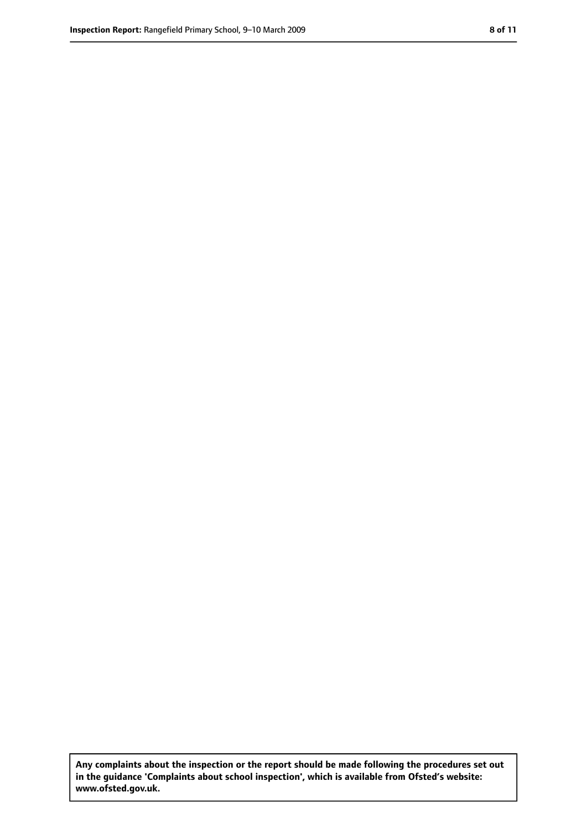**Any complaints about the inspection or the report should be made following the procedures set out in the guidance 'Complaints about school inspection', which is available from Ofsted's website: www.ofsted.gov.uk.**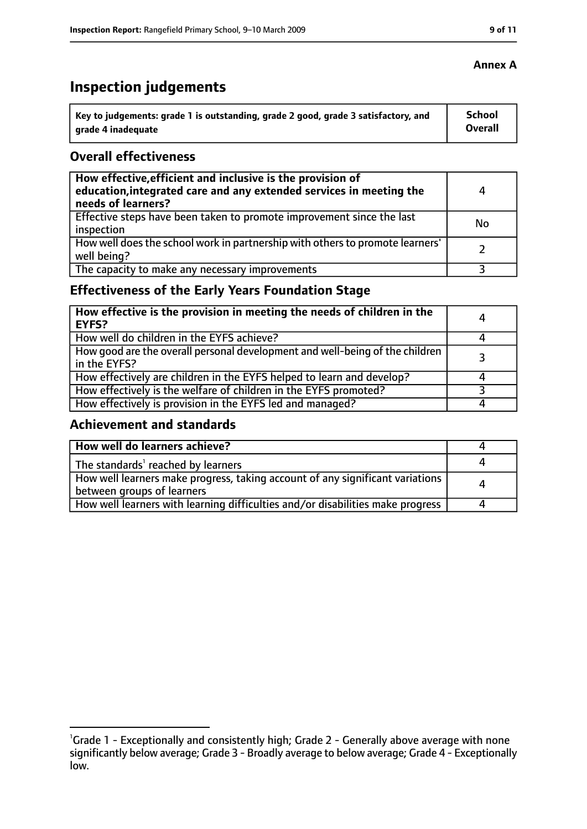## **Inspection judgements**

| key to judgements: grade 1 is outstanding, grade 2 good, grade 3 satisfactory, and ا | School         |
|--------------------------------------------------------------------------------------|----------------|
| arade 4 inadequate                                                                   | <b>Overall</b> |

#### **Overall effectiveness**

| How effective, efficient and inclusive is the provision of<br>education, integrated care and any extended services in meeting the<br>needs of learners? | 4  |
|---------------------------------------------------------------------------------------------------------------------------------------------------------|----|
| Effective steps have been taken to promote improvement since the last<br>inspection                                                                     | No |
| How well does the school work in partnership with others to promote learners'<br>well being?                                                            |    |
| The capacity to make any necessary improvements                                                                                                         |    |

### **Effectiveness of the Early Years Foundation Stage**

| How effective is the provision in meeting the needs of children in the<br>l EYFS?              | 4 |
|------------------------------------------------------------------------------------------------|---|
| How well do children in the EYFS achieve?                                                      |   |
| How good are the overall personal development and well-being of the children<br>I in the EYFS? |   |
| How effectively are children in the EYFS helped to learn and develop?                          |   |
| How effectively is the welfare of children in the EYFS promoted?                               |   |
| How effectively is provision in the EYFS led and managed?                                      |   |

#### **Achievement and standards**

| How well do learners achieve?                                                                               |  |
|-------------------------------------------------------------------------------------------------------------|--|
| The standards <sup>1</sup> reached by learners                                                              |  |
| How well learners make progress, taking account of any significant variations<br>between groups of learners |  |
| How well learners with learning difficulties and/or disabilities make progress                              |  |

#### **Annex A**

<sup>&</sup>lt;sup>1</sup>Grade 1 - Exceptionally and consistently high; Grade 2 - Generally above average with none significantly below average; Grade 3 - Broadly average to below average; Grade 4 - Exceptionally low.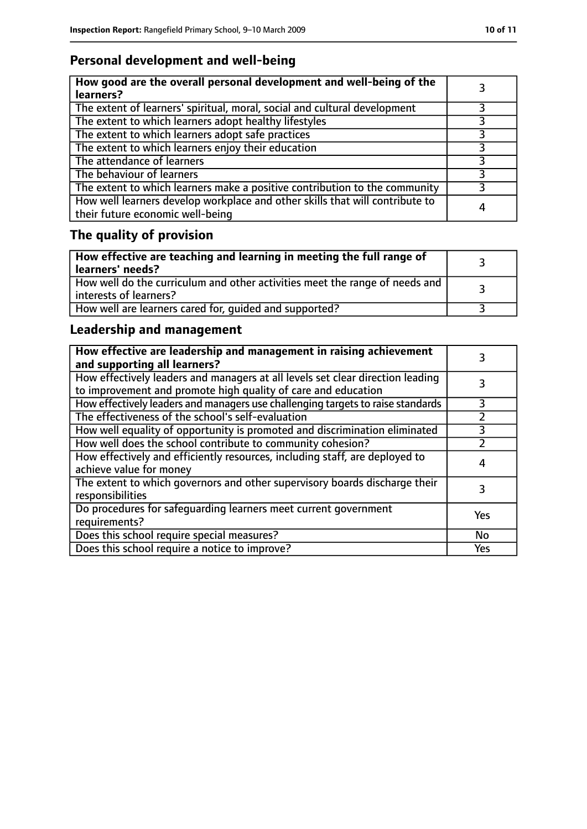### **Personal development and well-being**

| How good are the overall personal development and well-being of the<br>learners?                                 |   |
|------------------------------------------------------------------------------------------------------------------|---|
| The extent of learners' spiritual, moral, social and cultural development                                        | 3 |
| The extent to which learners adopt healthy lifestyles                                                            |   |
| The extent to which learners adopt safe practices                                                                |   |
| The extent to which learners enjoy their education                                                               | 3 |
| The attendance of learners                                                                                       |   |
| The behaviour of learners                                                                                        |   |
| The extent to which learners make a positive contribution to the community                                       |   |
| How well learners develop workplace and other skills that will contribute to<br>their future economic well-being | 4 |

## **The quality of provision**

| $\vert$ How effective are teaching and learning in meeting the full range of<br>learners' needs?        |  |
|---------------------------------------------------------------------------------------------------------|--|
| How well do the curriculum and other activities meet the range of needs and<br>  interests of learners? |  |
| How well are learners cared for, quided and supported?                                                  |  |

### **Leadership and management**

| How effective are leadership and management in raising achievement<br>and supporting all learners?                                              |     |
|-------------------------------------------------------------------------------------------------------------------------------------------------|-----|
| How effectively leaders and managers at all levels set clear direction leading<br>to improvement and promote high quality of care and education |     |
| How effectively leaders and managers use challenging targets to raise standards                                                                 | 3   |
| The effectiveness of the school's self-evaluation                                                                                               |     |
| How well equality of opportunity is promoted and discrimination eliminated                                                                      |     |
| How well does the school contribute to community cohesion?                                                                                      |     |
| How effectively and efficiently resources, including staff, are deployed to<br>achieve value for money                                          |     |
| The extent to which governors and other supervisory boards discharge their<br>responsibilities                                                  |     |
| Do procedures for safeguarding learners meet current government<br>requirements?                                                                | Yes |
| Does this school require special measures?                                                                                                      | No  |
| Does this school require a notice to improve?                                                                                                   | Yes |